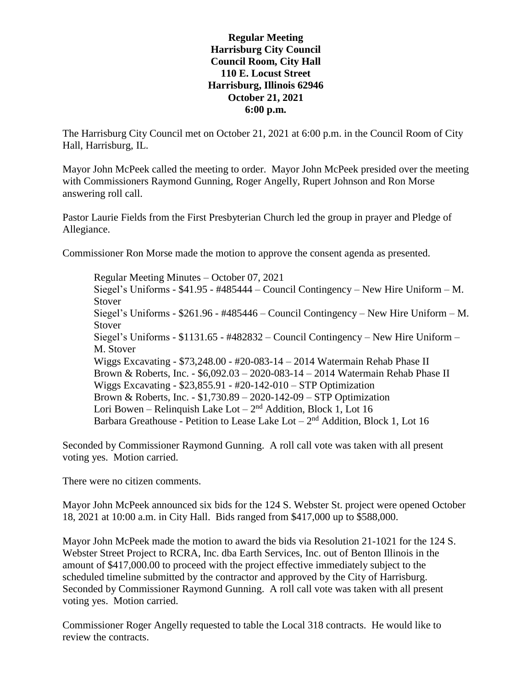## **Regular Meeting Harrisburg City Council Council Room, City Hall 110 E. Locust Street Harrisburg, Illinois 62946 October 21, 2021 6:00 p.m.**

The Harrisburg City Council met on October 21, 2021 at 6:00 p.m. in the Council Room of City Hall, Harrisburg, IL.

Mayor John McPeek called the meeting to order. Mayor John McPeek presided over the meeting with Commissioners Raymond Gunning, Roger Angelly, Rupert Johnson and Ron Morse answering roll call.

Pastor Laurie Fields from the First Presbyterian Church led the group in prayer and Pledge of Allegiance.

Commissioner Ron Morse made the motion to approve the consent agenda as presented.

Regular Meeting Minutes – October 07, 2021 Siegel's Uniforms - \$41.95 - #485444 – Council Contingency – New Hire Uniform – M. Stover Siegel's Uniforms - \$261.96 - #485446 – Council Contingency – New Hire Uniform – M. Stover Siegel's Uniforms - \$1131.65 - #482832 – Council Contingency – New Hire Uniform – M. Stover Wiggs Excavating - \$73,248.00 - #20-083-14 – 2014 Watermain Rehab Phase II Brown & Roberts, Inc. - \$6,092.03 – 2020-083-14 – 2014 Watermain Rehab Phase II Wiggs Excavating - \$23,855.91 - #20-142-010 – STP Optimization Brown & Roberts, Inc. - \$1,730.89 – 2020-142-09 – STP Optimization Lori Bowen – Relinquish Lake Lot –  $2<sup>nd</sup>$  Addition, Block 1, Lot 16 Barbara Greathouse - Petition to Lease Lake Lot  $-2<sup>nd</sup>$  Addition, Block 1, Lot 16

Seconded by Commissioner Raymond Gunning. A roll call vote was taken with all present voting yes. Motion carried.

There were no citizen comments.

Mayor John McPeek announced six bids for the 124 S. Webster St. project were opened October 18, 2021 at 10:00 a.m. in City Hall. Bids ranged from \$417,000 up to \$588,000.

Mayor John McPeek made the motion to award the bids via Resolution 21-1021 for the 124 S. Webster Street Project to RCRA, Inc. dba Earth Services, Inc. out of Benton Illinois in the amount of \$417,000.00 to proceed with the project effective immediately subject to the scheduled timeline submitted by the contractor and approved by the City of Harrisburg. Seconded by Commissioner Raymond Gunning. A roll call vote was taken with all present voting yes. Motion carried.

Commissioner Roger Angelly requested to table the Local 318 contracts. He would like to review the contracts.